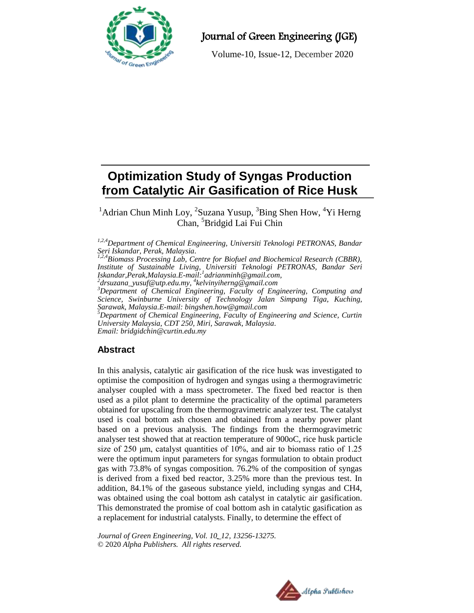

Journal of Green Engineering (JGE)

Volume-10, Issue-12, December 2020

# **Optimization Study of Syngas Production from Catalytic Air Gasification of Rice Husk**

<sup>1</sup>Adrian Chun Minh Loy, <sup>2</sup>Suzana Yusup, <sup>3</sup>Bing Shen How, <sup>4</sup>Yi Herng Chan, <sup>5</sup>Bridgid Lai Fui Chin

*1,2,4Department of Chemical Engineering, Universiti Teknologi PETRONAS, Bandar Seri Iskandar, Perak, Malaysia.*

*1,2,4Biomass Processing Lab, Centre for Biofuel and Biochemical Research (CBBR), Institute of Sustainable Living, Universiti Teknologi PETRONAS, Bandar Seri Iskandar,Perak,Malaysia.E-mail:<sup>1</sup> adrianminh@gmail.com,* 

*2 drsuzana\_yusuf@utp.edu.my, 4 kelvinyiherng@gmail.com*

*<sup>3</sup>Department of Chemical Engineering, Faculty of Engineering, Computing and Science, Swinburne University of Technology Jalan Simpang Tiga, Kuching, Sarawak, Malaysia.E-mail: bingshen.how@gmail.com*

*<sup>5</sup>Department of Chemical Engineering, Faculty of Engineering and Science, Curtin University Malaysia, CDT 250, Miri, Sarawak, Malaysia.*

*Email: bridgidchin@curtin.edu.my*

# **Abstract**

In this analysis, catalytic air gasification of the rice husk was investigated to optimise the composition of hydrogen and syngas using a thermogravimetric analyser coupled with a mass spectrometer. The fixed bed reactor is then used as a pilot plant to determine the practicality of the optimal parameters obtained for upscaling from the thermogravimetric analyzer test. The catalyst used is coal bottom ash chosen and obtained from a nearby power plant based on a previous analysis. The findings from the thermogravimetric analyser test showed that at reaction temperature of 900oC, rice husk particle size of 250 μm, catalyst quantities of 10%, and air to biomass ratio of 1.25 were the optimum input parameters for syngas formulation to obtain product gas with 73.8% of syngas composition. 76.2% of the composition of syngas is derived from a fixed bed reactor, 3.25% more than the previous test. In addition, 84.1% of the gaseous substance yield, including syngas and CH4, was obtained using the coal bottom ash catalyst in catalytic air gasification. This demonstrated the promise of coal bottom ash in catalytic gasification as a replacement for industrial catalysts. Finally, to determine the effect of

*Journal of Green Engineering, Vol. 10\_12, 13256-13275.* © 2020 *Alpha Publishers. All rights reserved.*

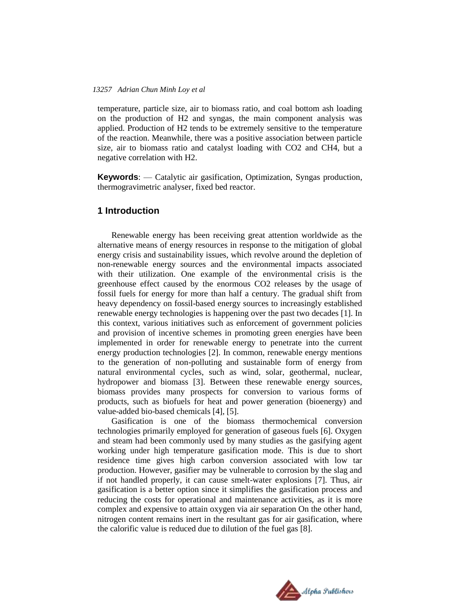temperature, particle size, air to biomass ratio, and coal bottom ash loading on the production of H2 and syngas, the main component analysis was applied. Production of H2 tends to be extremely sensitive to the temperature of the reaction. Meanwhile, there was a positive association between particle size, air to biomass ratio and catalyst loading with CO2 and CH4, but a negative correlation with H2.

**Keywords**: — Catalytic air gasification, Optimization, Syngas production, thermogravimetric analyser, fixed bed reactor.

## **1 Introduction**

Renewable energy has been receiving great attention worldwide as the alternative means of energy resources in response to the mitigation of global energy crisis and sustainability issues, which revolve around the depletion of non-renewable energy sources and the environmental impacts associated with their utilization. One example of the environmental crisis is the greenhouse effect caused by the enormous CO2 releases by the usage of fossil fuels for energy for more than half a century. The gradual shift from heavy dependency on fossil-based energy sources to increasingly established renewable energy technologies is happening over the past two decades [1]. In this context, various initiatives such as enforcement of government policies and provision of incentive schemes in promoting green energies have been implemented in order for renewable energy to penetrate into the current energy production technologies [2]. In common, renewable energy mentions to the generation of non-polluting and sustainable form of energy from natural environmental cycles, such as wind, solar, geothermal, nuclear, hydropower and biomass [3]. Between these renewable energy sources, biomass provides many prospects for conversion to various forms of products, such as biofuels for heat and power generation (bioenergy) and value-added bio-based chemicals [4], [5].

Gasification is one of the biomass thermochemical conversion technologies primarily employed for generation of gaseous fuels [6]. Oxygen and steam had been commonly used by many studies as the gasifying agent working under high temperature gasification mode. This is due to short residence time gives high carbon conversion associated with low tar production. However, gasifier may be vulnerable to corrosion by the slag and if not handled properly, it can cause smelt-water explosions [7]. Thus, air gasification is a better option since it simplifies the gasification process and reducing the costs for operational and maintenance activities, as it is more complex and expensive to attain oxygen via air separation On the other hand, nitrogen content remains inert in the resultant gas for air gasification, where the calorific value is reduced due to dilution of the fuel gas [8].

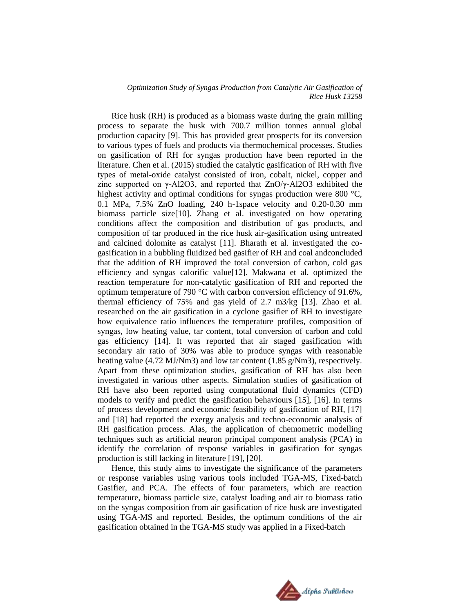Rice husk (RH) is produced as a biomass waste during the grain milling process to separate the husk with 700.7 million tonnes annual global production capacity [9]. This has provided great prospects for its conversion to various types of fuels and products via thermochemical processes. Studies on gasification of RH for syngas production have been reported in the literature. Chen et al. (2015) studied the catalytic gasification of RH with five types of metal-oxide catalyst consisted of iron, cobalt, nickel, copper and zinc supported on γ-Al2O3, and reported that  $ZnO/γ$ -Al2O3 exhibited the highest activity and optimal conditions for syngas production were 800 °C, 0.1 MPa, 7.5% ZnO loading, 240 h-1space velocity and 0.20-0.30 mm biomass particle size[10]. Zhang et al. investigated on how operating conditions affect the composition and distribution of gas products, and composition of tar produced in the rice husk air-gasification using untreated and calcined dolomite as catalyst [11]. Bharath et al. investigated the cogasification in a bubbling fluidized bed gasifier of RH and coal andconcluded that the addition of RH improved the total conversion of carbon, cold gas efficiency and syngas calorific value[12]. Makwana et al. optimized the reaction temperature for non-catalytic gasification of RH and reported the optimum temperature of 790 °C with carbon conversion efficiency of 91.6%, thermal efficiency of 75% and gas yield of 2.7 m3/kg [13]. Zhao et al. researched on the air gasification in a cyclone gasifier of RH to investigate how equivalence ratio influences the temperature profiles, composition of syngas, low heating value, tar content, total conversion of carbon and cold gas efficiency [14]. It was reported that air staged gasification with secondary air ratio of 30% was able to produce syngas with reasonable heating value (4.72 MJ/Nm3) and low tar content (1.85 g/Nm3), respectively. Apart from these optimization studies, gasification of RH has also been investigated in various other aspects. Simulation studies of gasification of RH have also been reported using computational fluid dynamics (CFD) models to verify and predict the gasification behaviours [15], [16]. In terms of process development and economic feasibility of gasification of RH, [17] and [18] had reported the exergy analysis and techno-economic analysis of RH gasification process. Alas, the application of chemometric modelling techniques such as artificial neuron principal component analysis (PCA) in identify the correlation of response variables in gasification for syngas production is still lacking in literature [19], [20].

Hence, this study aims to investigate the significance of the parameters or response variables using various tools included TGA-MS, Fixed-batch Gasifier, and PCA. The effects of four parameters, which are reaction temperature, biomass particle size, catalyst loading and air to biomass ratio on the syngas composition from air gasification of rice husk are investigated using TGA-MS and reported. Besides, the optimum conditions of the air gasification obtained in the TGA-MS study was applied in a Fixed-batch

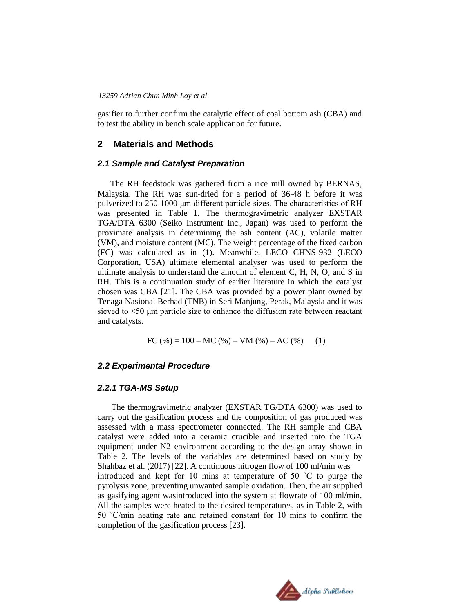gasifier to further confirm the catalytic effect of coal bottom ash (CBA) and to test the ability in bench scale application for future.

## **2 Materials and Methods**

#### *2.1 Sample and Catalyst Preparation*

The RH feedstock was gathered from a rice mill owned by BERNAS, Malaysia. The RH was sun-dried for a period of 36-48 h before it was pulverized to 250-1000 μm different particle sizes. The characteristics of RH was presented in Table 1. The thermogravimetric analyzer EXSTAR TGA/DTA 6300 (Seiko Instrument Inc., Japan) was used to perform the proximate analysis in determining the ash content (AC), volatile matter (VM), and moisture content (MC). The weight percentage of the fixed carbon (FC) was calculated as in (1). Meanwhile, LECO CHNS-932 (LECO Corporation, USA) ultimate elemental analyser was used to perform the ultimate analysis to understand the amount of element C, H, N, O, and S in RH. This is a continuation study of earlier literature in which the catalyst chosen was CBA [21]. The CBA was provided by a power plant owned by Tenaga Nasional Berhad (TNB) in Seri Manjung, Perak, Malaysia and it was sieved to <50 μm particle size to enhance the diffusion rate between reactant and catalysts.

FC (
$$
\% = 100 - MC
$$
 ( $\%) - VM$  ( $\%) - AC$  ( $\%)$ ) (1)

## *2.2 Experimental Procedure*

### *2.2.1 TGA-MS Setup*

The thermogravimetric analyzer (EXSTAR TG/DTA 6300) was used to carry out the gasification process and the composition of gas produced was assessed with a mass spectrometer connected. The RH sample and CBA catalyst were added into a ceramic crucible and inserted into the TGA equipment under N2 environment according to the design array shown in Table 2. The levels of the variables are determined based on study by Shahbaz et al. (2017) [22]. A continuous nitrogen flow of 100 ml/min was introduced and kept for 10 mins at temperature of 50 ˚C to purge the pyrolysis zone, preventing unwanted sample oxidation. Then, the air supplied as gasifying agent wasintroduced into the system at flowrate of 100 ml/min. All the samples were heated to the desired temperatures, as in Table 2, with 50 ˚C/min heating rate and retained constant for 10 mins to confirm the completion of the gasification process [23].

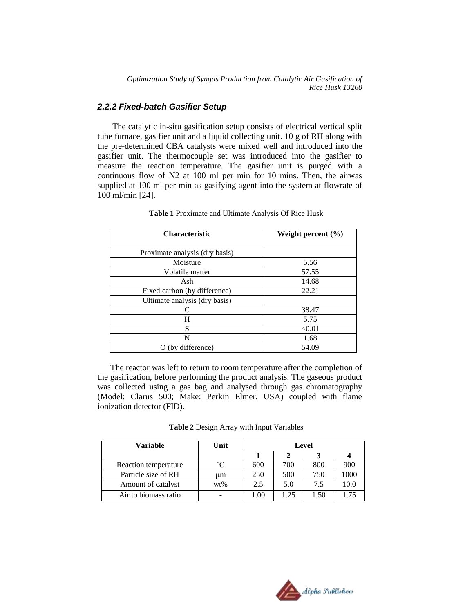## *2.2.2 Fixed-batch Gasifier Setup*

The catalytic in-situ gasification setup consists of electrical vertical split tube furnace, gasifier unit and a liquid collecting unit. 10 g of RH along with the pre-determined CBA catalysts were mixed well and introduced into the gasifier unit. The thermocouple set was introduced into the gasifier to measure the reaction temperature. The gasifier unit is purged with a continuous flow of N2 at 100 ml per min for 10 mins. Then, the airwas supplied at 100 ml per min as gasifying agent into the system at flowrate of 100 ml/min [24].

| <b>Characteristic</b>          | Weight percent $(\% )$ |  |  |  |  |
|--------------------------------|------------------------|--|--|--|--|
| Proximate analysis (dry basis) |                        |  |  |  |  |
| Moisture                       | 5.56                   |  |  |  |  |
| Volatile matter                | 57.55                  |  |  |  |  |
| Ash                            | 14.68                  |  |  |  |  |
| Fixed carbon (by difference)   | 22.21                  |  |  |  |  |
| Ultimate analysis (dry basis)  |                        |  |  |  |  |
|                                | 38.47                  |  |  |  |  |
| H                              | 5.75                   |  |  |  |  |
| S                              | < 0.01                 |  |  |  |  |
| N                              | 1.68                   |  |  |  |  |
| by difference)                 | 54.09                  |  |  |  |  |

**Table 1** Proximate and Ultimate Analysis Of Rice Husk

The reactor was left to return to room temperature after the completion of the gasification, before performing the product analysis. The gaseous product was collected using a gas bag and analysed through gas chromatography (Model: Clarus 500; Make: Perkin Elmer, USA) coupled with flame ionization detector (FID).

| Table 2 Design Array with Input Variables |  |  |  |  |
|-------------------------------------------|--|--|--|--|
|-------------------------------------------|--|--|--|--|

| Variable             | Unit   | Level |      |      |      |  |
|----------------------|--------|-------|------|------|------|--|
|                      |        |       |      |      |      |  |
| Reaction temperature | °∩     | 600   | 700  | 800  | 900  |  |
| Particle size of RH  | um     | 250   | 500  | 750  | 1000 |  |
| Amount of catalyst   | $wt\%$ | 2.5   | 5.0  | 7.5  | 10.0 |  |
| Air to biomass ratio |        | 0.00  | 1.25 | 1.50 | 175  |  |

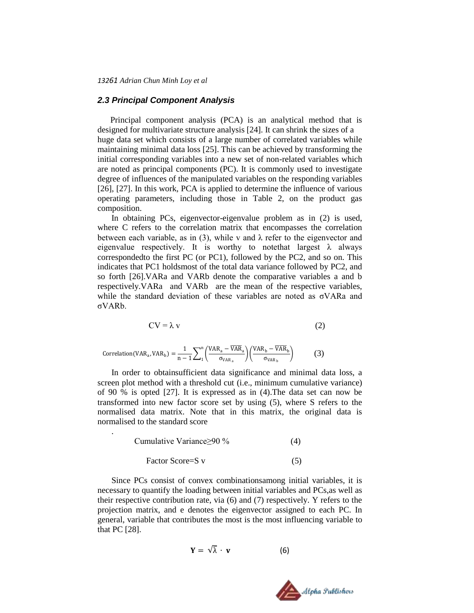### *2.3 Principal Component Analysis*

Principal component analysis (PCA) is an analytical method that is designed for multivariate structure analysis [24]. It can shrink the sizes of a huge data set which consists of a large number of correlated variables while maintaining minimal data loss [25]. This can be achieved by transforming the initial corresponding variables into a new set of non-related variables which are noted as principal components (PC). It is commonly used to investigate degree of influences of the manipulated variables on the responding variables [26], [27]. In this work, PCA is applied to determine the influence of various operating parameters, including those in Table 2, on the product gas composition.

In obtaining PCs, eigenvector-eigenvalue problem as in (2) is used, where C refers to the correlation matrix that encompasses the correlation between each variable, as in (3), while v and  $\lambda$  refer to the eigenvector and eigenvalue respectively. It is worthy to note that largest  $\lambda$  always correspondedto the first PC (or PC1), followed by the PC2, and so on. This indicates that PC1 holdsmost of the total data variance followed by PC2, and so forth [26].VARa and VARb denote the comparative variables a and b respectively.VARa and VARb are the mean of the respective variables, while the standard deviation of these variables are noted as  $\sigma VARa$  and σVARb.

$$
CV = \lambda V \tag{2}
$$

$$
\text{Correlation}(\text{VAR}_a, \text{VAR}_b) = \frac{1}{n-1} \sum_{1}^{n} \left( \frac{\text{VAR}_a - \overline{\text{VAR}}_a}{\sigma_{\text{VAR}_a}} \right) \left( \frac{\text{VAR}_b - \overline{\text{VAR}}_b}{\sigma_{\text{VAR}_b}} \right) \tag{3}
$$

In order to obtainsufficient data significance and minimal data loss, a screen plot method with a threshold cut (i.e., minimum cumulative variance) of 90 % is opted [27]. It is expressed as in (4).The data set can now be transformed into new factor score set by using (5), where S refers to the normalised data matrix. Note that in this matrix, the original data is normalised to the standard score

Cumulative Variance
$$
\geq 90\%
$$
 (4)

.

Factor Score = 
$$
S v
$$
 (5)

Since PCs consist of convex combinationsamong initial variables, it is necessary to quantify the loading between initial variables and PCs,as well as their respective contribution rate, via (6) and (7) respectively. Y refers to the projection matrix, and e denotes the eigenvector assigned to each PC. In general, variable that contributes the most is the most influencing variable to that PC [28].

$$
\mathbf{Y} = \sqrt{\lambda} \cdot \mathbf{v} \tag{6}
$$

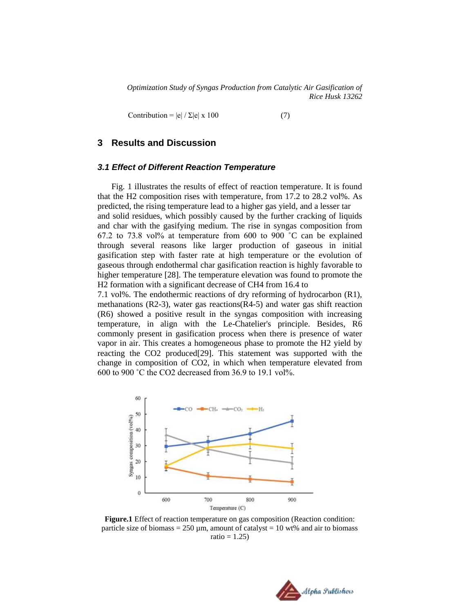Contribution =  $|e| / \Sigma |e| \times 100$  (7)

## **3 Results and Discussion**

#### *3.1 Effect of Different Reaction Temperature*

Fig. 1 illustrates the results of effect of reaction temperature. It is found that the H2 composition rises with temperature, from 17.2 to 28.2 vol%. As predicted, the rising temperature lead to a higher gas yield, and a lesser tar and solid residues, which possibly caused by the further cracking of liquids and char with the gasifying medium. The rise in syngas composition from 67.2 to 73.8 vol% at temperature from 600 to 900 ˚C can be explained

through several reasons like larger production of gaseous in initial gasification step with faster rate at high temperature or the evolution of gaseous through endothermal char gasification reaction is highly favorable to higher temperature [28]. The temperature elevation was found to promote the H2 formation with a significant decrease of CH4 from 16.4 to

7.1 vol%. The endothermic reactions of dry reforming of hydrocarbon (R1), methanations  $(R2-3)$ , water gas reactions $(R4-5)$  and water gas shift reaction (R6) showed a positive result in the syngas composition with increasing temperature, in align with the Le-Chatelier's principle. Besides, R6 commonly present in gasification process when there is presence of water vapor in air. This creates a homogeneous phase to promote the H2 yield by reacting the CO2 produced[29]. This statement was supported with the change in composition of CO2, in which when temperature elevated from 600 to 900 ˚C the CO2 decreased from 36.9 to 19.1 vol%.



Figure.1 Effect of reaction temperature on gas composition (Reaction condition: particle size of biomass =  $250 \mu m$ , amount of catalyst =  $10 \text{ wt\%}$  and air to biomass ratio  $= 1.25$ 

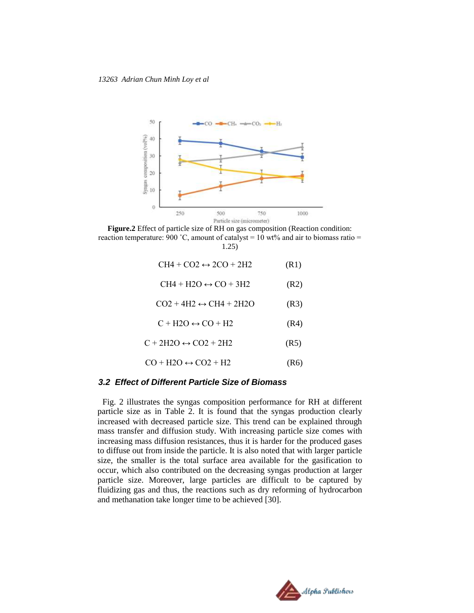

**Figure.2** Effect of particle size of RH on gas composition (Reaction condition: reaction temperature: 900 °C, amount of catalyst = 10 wt% and air to biomass ratio = 1.25)

- $CH4 + CO2 \leftrightarrow 2CO + 2H2$  (R1)
- $CH4 + H2O \leftrightarrow CO + 3H2$  (R2)
- $CO2 + 4H2 \leftrightarrow CH4 + 2H2O$  (R3)
- $C + H2O \leftrightarrow CO + H2$  (R4)
- $C + 2H2O \leftrightarrow CO2 + 2H2$  (R5)

$$
CO + H2O \leftrightarrow CO2 + H2 \tag{R6}
$$

## *3.2 Effect of Different Particle Size of Biomass*

Fig. 2 illustrates the syngas composition performance for RH at different particle size as in Table 2. It is found that the syngas production clearly increased with decreased particle size. This trend can be explained through mass transfer and diffusion study. With increasing particle size comes with increasing mass diffusion resistances, thus it is harder for the produced gases to diffuse out from inside the particle. It is also noted that with larger particle size, the smaller is the total surface area available for the gasification to occur, which also contributed on the decreasing syngas production at larger particle size. Moreover, large particles are difficult to be captured by fluidizing gas and thus, the reactions such as dry reforming of hydrocarbon and methanation take longer time to be achieved [30].

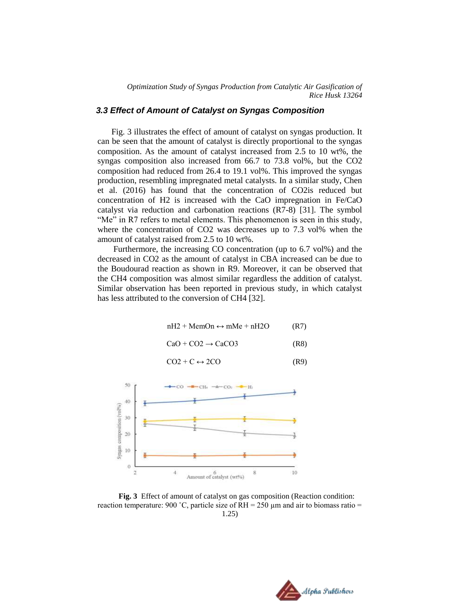## *3.3 Effect of Amount of Catalyst on Syngas Composition*

Fig. 3 illustrates the effect of amount of catalyst on syngas production. It can be seen that the amount of catalyst is directly proportional to the syngas composition. As the amount of catalyst increased from 2.5 to 10 wt%, the syngas composition also increased from 66.7 to 73.8 vol%, but the CO2 composition had reduced from 26.4 to 19.1 vol%. This improved the syngas production, resembling impregnated metal catalysts. In a similar study, Chen et al. (2016) has found that the concentration of CO2is reduced but concentration of H2 is increased with the CaO impregnation in Fe/CaO catalyst via reduction and carbonation reactions (R7-8) [31]. The symbol "Me" in R7 refers to metal elements. This phenomenon is seen in this study, where the concentration of CO2 was decreases up to 7.3 vol% when the amount of catalyst raised from 2.5 to 10 wt%.

Furthermore, the increasing CO concentration (up to 6.7 vol%) and the decreased in CO2 as the amount of catalyst in CBA increased can be due to the Boudourad reaction as shown in R9. Moreover, it can be observed that the CH4 composition was almost similar regardless the addition of catalyst. Similar observation has been reported in previous study, in which catalyst has less attributed to the conversion of CH4 [32].

- $nH2 + MemOn \leftrightarrow mMe + nH2O$  (R7)
- $CaO + CO2 \rightarrow CaCO3$  (R8)
- $CO2 + C \leftrightarrow 2CO$  (R9)



**Fig. 3** Effect of amount of catalyst on gas composition (Reaction condition: reaction temperature: 900 °C, particle size of RH = 250  $\mu$ m and air to biomass ratio = 1.25)

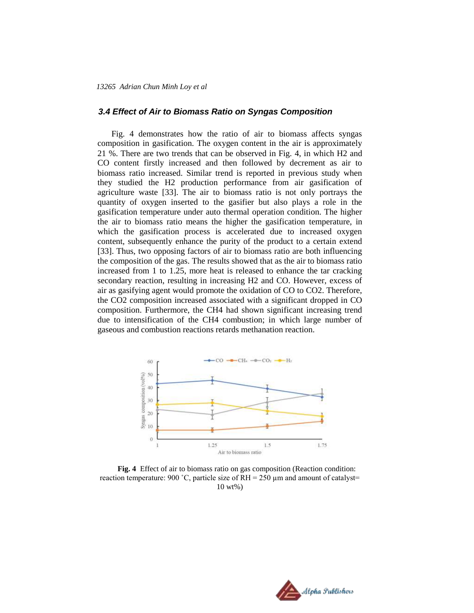#### *3.4 Effect of Air to Biomass Ratio on Syngas Composition*

Fig. 4 demonstrates how the ratio of air to biomass affects syngas composition in gasification. The oxygen content in the air is approximately 21 %. There are two trends that can be observed in Fig. 4, in which H2 and CO content firstly increased and then followed by decrement as air to biomass ratio increased. Similar trend is reported in previous study when they studied the H2 production performance from air gasification of agriculture waste [33]. The air to biomass ratio is not only portrays the quantity of oxygen inserted to the gasifier but also plays a role in the gasification temperature under auto thermal operation condition. The higher the air to biomass ratio means the higher the gasification temperature, in which the gasification process is accelerated due to increased oxygen content, subsequently enhance the purity of the product to a certain extend [33]. Thus, two opposing factors of air to biomass ratio are both influencing the composition of the gas. The results showed that as the air to biomass ratio increased from 1 to 1.25, more heat is released to enhance the tar cracking secondary reaction, resulting in increasing H2 and CO. However, excess of air as gasifying agent would promote the oxidation of CO to CO2. Therefore, the CO2 composition increased associated with a significant dropped in CO composition. Furthermore, the CH4 had shown significant increasing trend due to intensification of the CH4 combustion; in which large number of gaseous and combustion reactions retards methanation reaction.



**Fig. 4** Effect of air to biomass ratio on gas composition (Reaction condition: reaction temperature: 900 °C, particle size of RH = 250  $\mu$ m and amount of catalyst= 10 wt%)

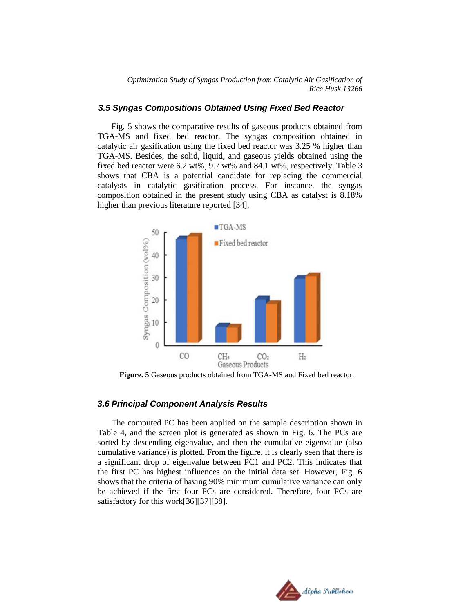## *3.5 Syngas Compositions Obtained Using Fixed Bed Reactor*

Fig. 5 shows the comparative results of gaseous products obtained from TGA-MS and fixed bed reactor. The syngas composition obtained in catalytic air gasification using the fixed bed reactor was 3.25 % higher than TGA-MS. Besides, the solid, liquid, and gaseous yields obtained using the fixed bed reactor were 6.2 wt%, 9.7 wt% and 84.1 wt%, respectively. Table 3 shows that CBA is a potential candidate for replacing the commercial catalysts in catalytic gasification process. For instance, the syngas composition obtained in the present study using CBA as catalyst is 8.18% higher than previous literature reported [34].



**Figure. 5** Gaseous products obtained from TGA-MS and Fixed bed reactor.

## *3.6 Principal Component Analysis Results*

The computed PC has been applied on the sample description shown in Table 4, and the screen plot is generated as shown in Fig. 6. The PCs are sorted by descending eigenvalue, and then the cumulative eigenvalue (also cumulative variance) is plotted. From the figure, it is clearly seen that there is a significant drop of eigenvalue between PC1 and PC2. This indicates that the first PC has highest influences on the initial data set. However, Fig. 6 shows that the criteria of having 90% minimum cumulative variance can only be achieved if the first four PCs are considered. Therefore, four PCs are satisfactory for this work[36][37][38].

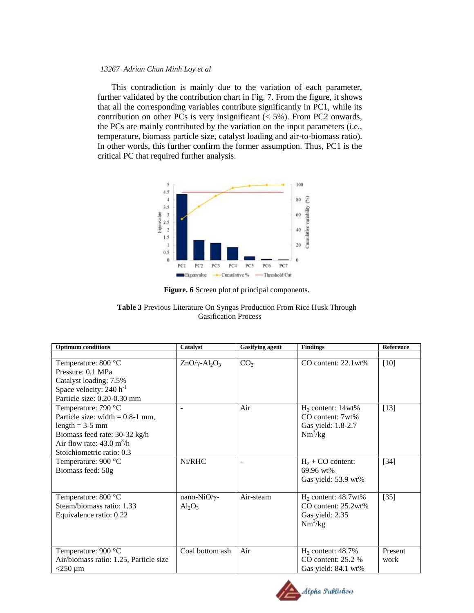This contradiction is mainly due to the variation of each parameter, further validated by the contribution chart in Fig. 7. From the figure, it shows that all the corresponding variables contribute significantly in PC1, while its contribution on other PCs is very insignificant  $(< 5\%$ ). From PC2 onwards, the PCs are mainly contributed by the variation on the input parameters (i.e., temperature, biomass particle size, catalyst loading and air-to-biomass ratio). In other words, this further confirm the former assumption. Thus, PC1 is the critical PC that required further analysis.



**Figure. 6** Screen plot of principal components.

| Table 3 Previous Literature On Syngas Production From Rice Husk Through |  |
|-------------------------------------------------------------------------|--|
| <b>Gasification Process</b>                                             |  |

| <b>Optimum</b> conditions                  | <b>Catalyst</b>                              | <b>Gasifying agent</b> | <b>Findings</b>          | <b>Reference</b> |
|--------------------------------------------|----------------------------------------------|------------------------|--------------------------|------------------|
|                                            |                                              |                        |                          |                  |
| Temperature: 800 °C                        | $ZnO/\gamma$ -Al <sub>2</sub> O <sub>3</sub> | CO <sub>2</sub>        | $CO$ content: $22.1$ wt% | $[10]$           |
| Pressure: 0.1 MPa                          |                                              |                        |                          |                  |
| Catalyst loading: 7.5%                     |                                              |                        |                          |                  |
| Space velocity: $240 h^{-1}$               |                                              |                        |                          |                  |
| Particle size: 0.20-0.30 mm                |                                              |                        |                          |                  |
| Temperature: 790 °C                        | ÷                                            | Air                    | $H_2$ content: 14wt%     | $[13]$           |
| Particle size: width $= 0.8-1$ mm,         |                                              |                        | CO content: 7wt%         |                  |
| length = $3-5$ mm                          |                                              |                        | Gas yield: 1.8-2.7       |                  |
| Biomass feed rate: 30-32 kg/h              |                                              |                        | $Nm^3/kg$                |                  |
| Air flow rate: $43.0 \text{ m}^3/\text{h}$ |                                              |                        |                          |                  |
| Stoichiometric ratio: 0.3                  |                                              |                        |                          |                  |
| Temperature: $900^{\circ}$ C               | Ni/RHC                                       | $\overline{a}$         | $H_2$ + CO content:      | $[34]$           |
| Biomass feed: 50g                          |                                              |                        | 69.96 wt%                |                  |
|                                            |                                              |                        | Gas yield: 53.9 wt%      |                  |
|                                            |                                              |                        |                          |                  |
| Temperature: 800 °C                        | nano-NiO/ $\gamma$ -                         | Air-steam              | $H2$ content: 48.7wt%    | $[35]$           |
| Steam/biomass ratio: 1.33                  | $Al_2O_3$                                    |                        | CO content: 25.2wt%      |                  |
| Equivalence ratio: 0.22                    |                                              |                        | Gas yield: 2.35          |                  |
|                                            |                                              |                        | $Nm^3/kg$                |                  |
|                                            |                                              |                        |                          |                  |
|                                            |                                              |                        |                          |                  |
| Temperature: 900 °C                        | Coal bottom ash                              | Air                    | $H2$ content: 48.7%      | Present          |
| Air/biomass ratio: 1.25, Particle size     |                                              |                        | CO content: 25.2 %       | work             |
| $<$ 250 µm                                 |                                              |                        | Gas yield: 84.1 wt%      |                  |

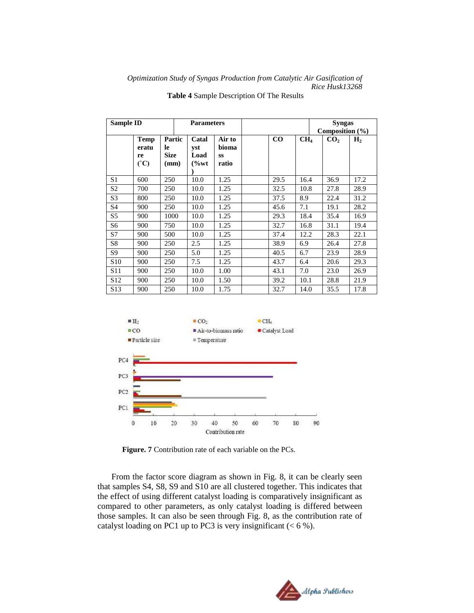| <b>Sample ID</b> |                                    |                                     | <b>Parameters</b>                       |                                       |  |      |                 | <b>Syngas</b><br>Composition $(\% )$ |      |      |
|------------------|------------------------------------|-------------------------------------|-----------------------------------------|---------------------------------------|--|------|-----------------|--------------------------------------|------|------|
|                  | <b>Temp</b><br>eratu<br>re<br>(°C) | Partic<br>le<br><b>Size</b><br>(mm) | Catal<br>yst<br>Load<br>$\frac{6}{6}wt$ | Air to<br>bioma<br><b>SS</b><br>ratio |  | CO   | CH <sub>4</sub> |                                      | CO,  | Н,   |
| S1               | 600                                | 250                                 | 10.0                                    | 1.25                                  |  | 29.5 | 16.4            |                                      | 36.9 | 17.2 |
| S <sub>2</sub>   | 700                                | 250                                 | 10.0                                    | 1.25                                  |  | 32.5 | 10.8            |                                      | 27.8 | 28.9 |
| S <sub>3</sub>   | 800                                | 250                                 | 10.0                                    | 1.25                                  |  | 37.5 | 8.9             |                                      | 22.4 | 31.2 |
| S4               | 900                                | 250                                 | 10.0                                    | 1.25                                  |  | 45.6 | 7.1             |                                      | 19.1 | 28.2 |
| S5               | 900                                | 1000                                | 10.0                                    | 1.25                                  |  | 29.3 | 18.4            |                                      | 35.4 | 16.9 |
| S6               | 900                                | 750                                 | 10.0                                    | 1.25                                  |  | 32.7 | 16.8            |                                      | 31.1 | 19.4 |
| S7               | 900                                | 500                                 | 10.0                                    | 1.25                                  |  | 37.4 | 12.2            |                                      | 28.3 | 22.1 |
| S8               | 900                                | 250                                 | 2.5                                     | 1.25                                  |  | 38.9 | 6.9             |                                      | 26.4 | 27.8 |
| S9               | 900                                | 250                                 | 5.0                                     | 1.25                                  |  | 40.5 | 6.7             |                                      | 23.9 | 28.9 |
| S <sub>10</sub>  | 900                                | 250                                 | 7.5                                     | 1.25                                  |  | 43.7 | 6.4             |                                      | 20.6 | 29.3 |
| S <sub>11</sub>  | 900                                | 250                                 | 10.0                                    | 1.00                                  |  | 43.1 | 7.0             |                                      | 23.0 | 26.9 |
| S12              | 900                                | 250                                 | 10.0                                    | 1.50                                  |  | 39.2 | 10.1            |                                      | 28.8 | 21.9 |
| S13              | 900                                | 250                                 | 10.0                                    | 1.75                                  |  | 32.7 | 14.0            |                                      | 35.5 | 17.8 |

**Table 4** Sample Description Of The Results



**Figure. 7** Contribution rate of each variable on the PCs.

From the factor score diagram as shown in Fig. 8, it can be clearly seen that samples S4, S8, S9 and S10 are all clustered together. This indicates that the effect of using different catalyst loading is comparatively insignificant as compared to other parameters, as only catalyst loading is differed between those samples. It can also be seen through Fig. 8, as the contribution rate of catalyst loading on PC1 up to PC3 is very insignificant  $(< 6\%$ ).

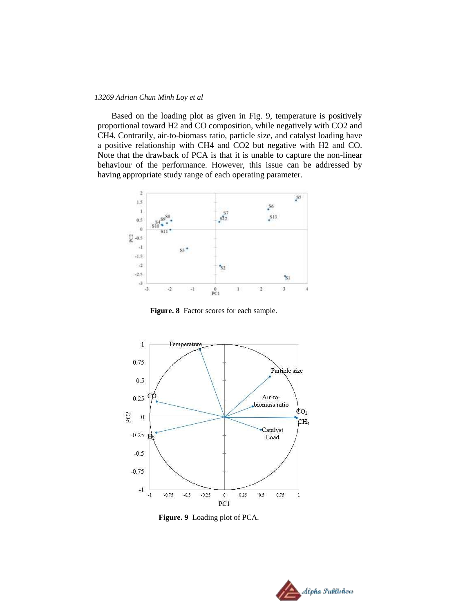Based on the loading plot as given in Fig. 9, temperature is positively proportional toward H2 and CO composition, while negatively with CO2 and CH4. Contrarily, air-to-biomass ratio, particle size, and catalyst loading have a positive relationship with CH4 and CO2 but negative with H2 and CO. Note that the drawback of PCA is that it is unable to capture the non-linear behaviour of the performance. However, this issue can be addressed by having appropriate study range of each operating parameter.



 **Figure. 8** Factor scores for each sample.



**Figure. 9** Loading plot of PCA.

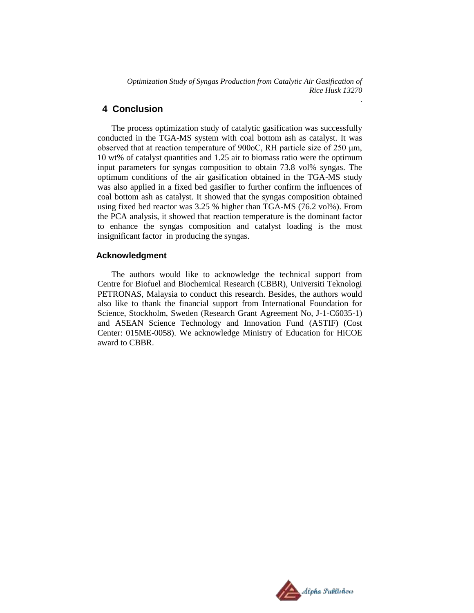.

# **4 Conclusion**

The process optimization study of catalytic gasification was successfully conducted in the TGA-MS system with coal bottom ash as catalyst. It was observed that at reaction temperature of 900oC, RH particle size of 250 μm, 10 wt% of catalyst quantities and 1.25 air to biomass ratio were the optimum input parameters for syngas composition to obtain 73.8 vol% syngas. The optimum conditions of the air gasification obtained in the TGA-MS study was also applied in a fixed bed gasifier to further confirm the influences of coal bottom ash as catalyst. It showed that the syngas composition obtained using fixed bed reactor was 3.25 % higher than TGA-MS (76.2 vol%). From the PCA analysis, it showed that reaction temperature is the dominant factor to enhance the syngas composition and catalyst loading is the most insignificant factor in producing the syngas.

## **Acknowledgment**

The authors would like to acknowledge the technical support from Centre for Biofuel and Biochemical Research (CBBR), Universiti Teknologi PETRONAS, Malaysia to conduct this research. Besides, the authors would also like to thank the financial support from International Foundation for Science, Stockholm, Sweden (Research Grant Agreement No, J-1-C6035-1) and ASEAN Science Technology and Innovation Fund (ASTIF) (Cost Center: 015ME-0058). We acknowledge Ministry of Education for HiCOE award to CBBR.

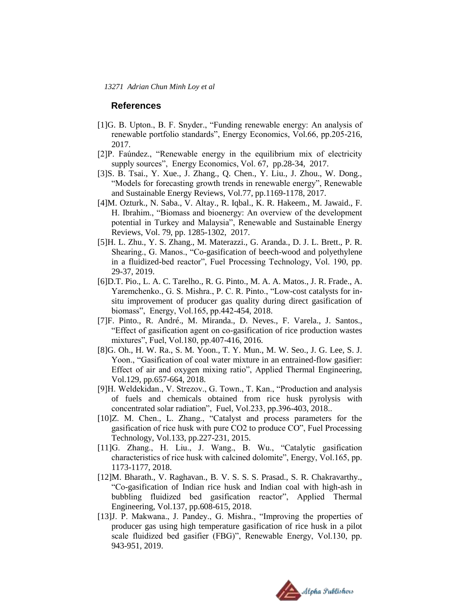#### **References**

- [1]G. B. Upton., B. F. Snyder., "Funding renewable energy: An analysis of renewable portfolio standards", Energy Economics, Vol.66, pp.205-216, 2017.
- [2]P. Faúndez., "Renewable energy in the equilibrium mix of electricity supply sources", Energy Economics, Vol. 67, pp.28-34, 2017.
- [3]S. B. Tsai., Y. Xue., J. Zhang., Q. Chen., Y. Liu., J. Zhou., W. Dong., ―Models for forecasting growth trends in renewable energy‖, Renewable and Sustainable Energy Reviews, Vol.77, pp.1169-1178, 2017.
- [4]M. Ozturk., N. Saba., V. Altay., R. Iqbal., K. R. Hakeem., M. Jawaid., F. H. Ibrahim., "Biomass and bioenergy: An overview of the development potential in Turkey and Malaysia", Renewable and Sustainable Energy Reviews, Vol. 79, pp. 1285-1302, 2017.
- [5]H. L. Zhu., Y. S. Zhang., M. Materazzi., G. Aranda., D. J. L. Brett., P. R. Shearing., G. Manos., "Co-gasification of beech-wood and polyethylene in a fluidized-bed reactor", Fuel Processing Technology, Vol. 190, pp. 29-37, 2019.
- [6]D.T. Pio., L. A. C. Tarelho., R. G. Pinto., M. A. A. Matos., J. R. Frade., A. Yaremchenko., G. S. Mishra., P. C. R. Pinto., "Low-cost catalysts for insitu improvement of producer gas quality during direct gasification of biomass", Energy, Vol.165, pp.442-454, 2018.
- [7]F. Pinto., R. André., M. Miranda., D. Neves., F. Varela., J. Santos., ―Effect of gasification agent on co-gasification of rice production wastes mixtures", Fuel, Vol.180, pp.407-416, 2016.
- [8]G. Oh., H. W. Ra., S. M. Yoon., T. Y. Mun., M. W. Seo., J. G. Lee, S. J. Yoon., "Gasification of coal water mixture in an entrained-flow gasifier: Effect of air and oxygen mixing ratio", Applied Thermal Engineering, Vol.129, pp.657-664, 2018.
- [9]H. Weldekidan., V. Strezov., G. Town., T. Kan., "Production and analysis of fuels and chemicals obtained from rice husk pyrolysis with concentrated solar radiation", Fuel, Vol.233, pp.396-403, 2018..
- $[10]Z$ . M. Chen., L. Zhang., "Catalyst and process parameters for the gasification of rice husk with pure CO2 to produce CO", Fuel Processing Technology, Vol.133, pp.227-231, 2015.
- [11]G. Zhang., H. Liu., J. Wang., B. Wu., "Catalytic gasification characteristics of rice husk with calcined dolomite", Energy, Vol.165, pp. 1173-1177, 2018.
- [12]M. Bharath., V. Raghavan., B. V. S. S. S. Prasad., S. R. Chakravarthy., ―Co-gasification of Indian rice husk and Indian coal with high-ash in bubbling fluidized bed gasification reactor", Applied Thermal Engineering, Vol.137, pp.608-615, 2018.
- [13]J. P. Makwana., J. Pandey., G. Mishra., "Improving the properties of producer gas using high temperature gasification of rice husk in a pilot scale fluidized bed gasifier (FBG)", Renewable Energy, Vol.130, pp. 943-951, 2019.

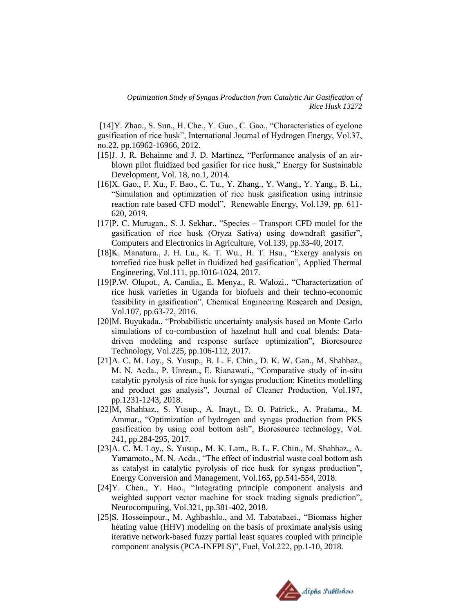[14]Y. Zhao., S. Sun., H. Che., Y. Guo., C. Gao., "Characteristics of cyclone gasification of rice husk", International Journal of Hydrogen Energy, Vol.37, no.22, pp.16962-16966, 2012.

- [15] J. J. R. Behainne and J. D. Martinez, "Performance analysis of an airblown pilot fluidized bed gasifier for rice husk," Energy for Sustainable Development, Vol. 18, no.1, 2014.
- [16]X. Gao., F. Xu., F. Bao., C. Tu., Y. Zhang., Y. Wang., Y. Yang., B. Li., ―Simulation and optimization of rice husk gasification using intrinsic reaction rate based CFD model", Renewable Energy, Vol.139, pp. 611-620, 2019.
- [17]P. C. Murugan., S. J. Sekhar., "Species Transport CFD model for the gasification of rice husk (Oryza Sativa) using downdraft gasifier", Computers and Electronics in Agriculture, Vol.139, pp.33-40, 2017.
- [18]K. Manatura., J. H. Lu., K. T. Wu., H. T. Hsu., "Exergy analysis on torrefied rice husk pellet in fluidized bed gasification", Applied Thermal Engineering, Vol.111, pp.1016-1024, 2017.
- [19]P.W. Olupot., A. Candia., E. Menya., R. Walozi., "Characterization of rice husk varieties in Uganda for biofuels and their techno-economic feasibility in gasification", Chemical Engineering Research and Design, Vol.107, pp.63-72, 2016.
- [20]M. Buyukada., "Probabilistic uncertainty analysis based on Monte Carlo simulations of co-combustion of hazelnut hull and coal blends: Datadriven modeling and response surface optimization", Bioresource Technology, Vol.225, pp.106-112, 2017.
- [21]A. C. M. Loy., S. Yusup., B. L. F. Chin., D. K. W. Gan., M. Shahbaz., M. N. Acda., P. Unrean., E. Rianawati., "Comparative study of in-situ catalytic pyrolysis of rice husk for syngas production: Kinetics modelling and product gas analysis", Journal of Cleaner Production, Vol.197, pp.1231-1243, 2018.
- [22]M, Shahbaz., S. Yusup., A. Inayt., D. O. Patrick., A. Pratama., M. Ammar., "Optimization of hydrogen and syngas production from PKS gasification by using coal bottom ash", Bioresource technology, Vol. 241, pp.284-295, 2017.
- [23]A. C. M. Loy., S. Yusup., M. K. Lam., B. L. F. Chin., M. Shahbaz., A. Yamamoto., M. N. Acda., "The effect of industrial waste coal bottom ash as catalyst in catalytic pyrolysis of rice husk for syngas production", Energy Conversion and Management, Vol.165, pp.541-554, 2018.
- [24]Y. Chen., Y. Hao., "Integrating principle component analysis and weighted support vector machine for stock trading signals prediction", Neurocomputing, Vol.321, pp.381-402, 2018.
- [25]S. Hosseinpour., M. Aghbashlo., and M. Tabatabaei., "Biomass higher heating value (HHV) modeling on the basis of proximate analysis using iterative network-based fuzzy partial least squares coupled with principle component analysis (PCA-INFPLS)", Fuel, Vol.222, pp.1-10, 2018.

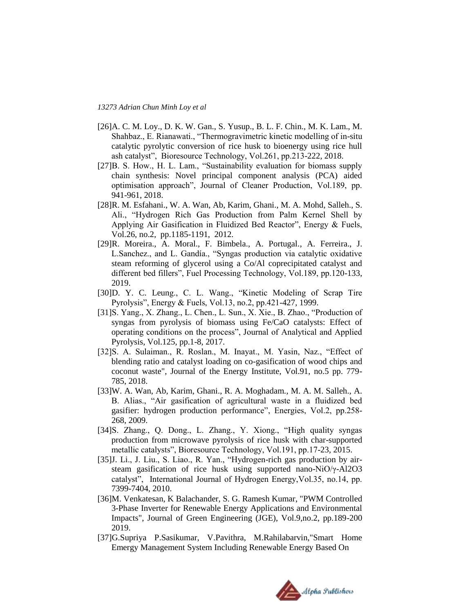- [26]A. C. M. Loy., D. K. W. Gan., S. Yusup., B. L. F. Chin., M. K. Lam., M. Shahbaz., E. Rianawati., "Thermogravimetric kinetic modelling of in-situ catalytic pyrolytic conversion of rice husk to bioenergy using rice hull ash catalyst", Bioresource Technology, Vol.261, pp.213-222, 2018.
- [27] B. S. How., H. L. Lam., "Sustainability evaluation for biomass supply chain synthesis: Novel principal component analysis (PCA) aided optimisation approach", Journal of Cleaner Production, Vol.189, pp. 941-961, 2018.
- [28]R. M. Esfahani., W. A. Wan, Ab, Karim, Ghani., M. A. Mohd, Salleh., S. Ali., "Hydrogen Rich Gas Production from Palm Kernel Shell by Applying Air Gasification in Fluidized Bed Reactor", Energy & Fuels, Vol.26, no.2, pp.1185-1191, 2012.
- [29]R. Moreira., A. Moral., F. Bimbela., A. Portugal., A. Ferreira., J. L.Sanchez., and L. Gandía., "Syngas production via catalytic oxidative steam reforming of glycerol using a Co/Al coprecipitated catalyst and different bed fillers", Fuel Processing Technology, Vol.189, pp.120-133, 2019.
- [30]D. Y. C. Leung., C. L. Wang., "Kinetic Modeling of Scrap Tire Pyrolysis", Energy & Fuels, Vol.13, no.2, pp.421-427, 1999.
- [31]S. Yang., X. Zhang., L. Chen., L. Sun., X. Xie., B. Zhao., "Production of syngas from pyrolysis of biomass using Fe/CaO catalysts: Effect of operating conditions on the process", Journal of Analytical and Applied Pyrolysis, Vol.125, pp.1-8, 2017.
- [32]S. A. Sulaiman., R. Roslan., M. Inayat., M. Yasin, Naz., "Effect of blending ratio and catalyst loading on co-gasification of wood chips and coconut waste", Journal of the Energy Institute, Vol.91, no.5 pp. 779- 785, 2018.
- [33]W. A. Wan, Ab, Karim, Ghani., R. A. Moghadam., M. A. M. Salleh., A. B. Alias., "Air gasification of agricultural waste in a fluidized bed gasifier: hydrogen production performance", Energies, Vol.2, pp.258-268, 2009.
- [34]S. Zhang., Q. Dong., L. Zhang., Y. Xiong., "High quality syngas production from microwave pyrolysis of rice husk with char-supported metallic catalysts", Bioresource Technology, Vol.191, pp.17-23, 2015.
- [35] J. Li., J. Liu., S. Liao., R. Yan., "Hydrogen-rich gas production by airsteam gasification of rice husk using supported nano-NiO/γ-Al2O3 catalyst", International Journal of Hydrogen Energy, Vol.35, no.14, pp. 7399-7404, 2010.
- [36]M. Venkatesan, K Balachander, S. G. Ramesh Kumar, "PWM Controlled 3-Phase Inverter for Renewable Energy Applications and Environmental Impacts", Journal of Green Engineering (JGE), Vol.9,no.2, pp.189-200 2019.
- [37]G.Supriya P.Sasikumar, V.Pavithra, M.Rahilabarvin,"Smart Home Emergy Management System Including Renewable Energy Based On

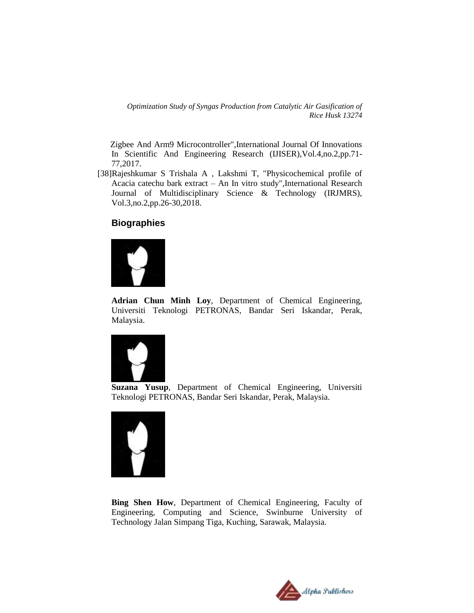Zigbee And Arm9 Microcontroller",International Journal Of Innovations In Scientific And Engineering Research (IJISER),Vol.4,no.2,pp.71- 77,2017.

[38]Rajeshkumar S Trishala A , Lakshmi T, "Physicochemical profile of Acacia catechu bark extract – An In vitro study",International Research Journal of Multidisciplinary Science & Technology (IRJMRS), Vol.3,no.2,pp.26-30,2018.

# **Biographies**



**Adrian Chun Minh Loy**, Department of Chemical Engineering, Universiti Teknologi PETRONAS, Bandar Seri Iskandar, Perak, Malaysia.



**Suzana Yusup**, Department of Chemical Engineering, Universiti Teknologi PETRONAS, Bandar Seri Iskandar, Perak, Malaysia.



**Bing Shen How**, Department of Chemical Engineering, Faculty of Engineering, Computing and Science, Swinburne University of Technology Jalan Simpang Tiga, Kuching, Sarawak, Malaysia.